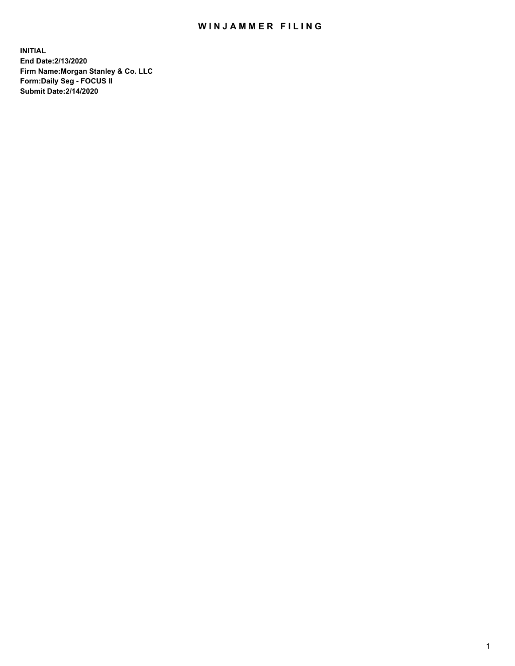## WIN JAMMER FILING

**INITIAL End Date:2/13/2020 Firm Name:Morgan Stanley & Co. LLC Form:Daily Seg - FOCUS II Submit Date:2/14/2020**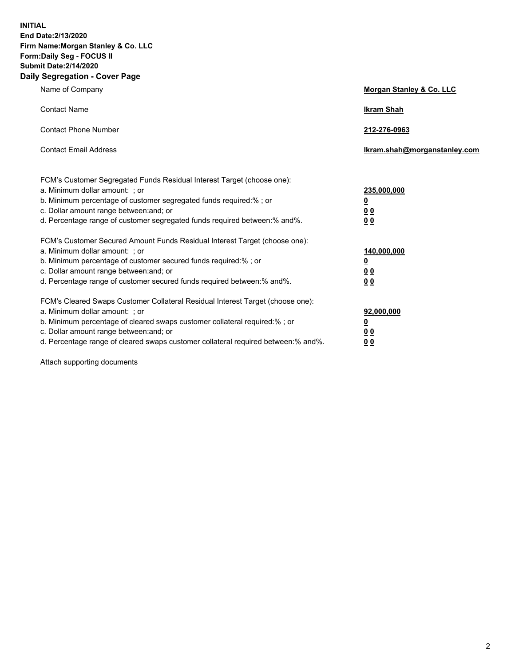**INITIAL End Date:2/13/2020 Firm Name:Morgan Stanley & Co. LLC Form:Daily Seg - FOCUS II Submit Date:2/14/2020 Daily Segregation - Cover Page**

| Name of Company                                                                                                                                                                                                                                                                                                                | Morgan Stanley & Co. LLC                                    |
|--------------------------------------------------------------------------------------------------------------------------------------------------------------------------------------------------------------------------------------------------------------------------------------------------------------------------------|-------------------------------------------------------------|
| <b>Contact Name</b>                                                                                                                                                                                                                                                                                                            | <b>Ikram Shah</b>                                           |
| <b>Contact Phone Number</b>                                                                                                                                                                                                                                                                                                    | 212-276-0963                                                |
| <b>Contact Email Address</b>                                                                                                                                                                                                                                                                                                   | Ikram.shah@morganstanley.com                                |
| FCM's Customer Segregated Funds Residual Interest Target (choose one):<br>a. Minimum dollar amount: ; or<br>b. Minimum percentage of customer segregated funds required:% ; or<br>c. Dollar amount range between: and; or                                                                                                      | 235,000,000<br><u>0</u><br>00                               |
| d. Percentage range of customer segregated funds required between: % and %.                                                                                                                                                                                                                                                    | 00                                                          |
| FCM's Customer Secured Amount Funds Residual Interest Target (choose one):<br>a. Minimum dollar amount: ; or<br>b. Minimum percentage of customer secured funds required:%; or<br>c. Dollar amount range between: and; or<br>d. Percentage range of customer secured funds required between:% and%.                            | 140,000,000<br><u>0</u><br>0 <sub>0</sub><br>0 <sub>0</sub> |
| FCM's Cleared Swaps Customer Collateral Residual Interest Target (choose one):<br>a. Minimum dollar amount: ; or<br>b. Minimum percentage of cleared swaps customer collateral required:% ; or<br>c. Dollar amount range between: and; or<br>d. Percentage range of cleared swaps customer collateral required between:% and%. | 92,000,000<br><u>0</u><br><u>00</u><br>00                   |

Attach supporting documents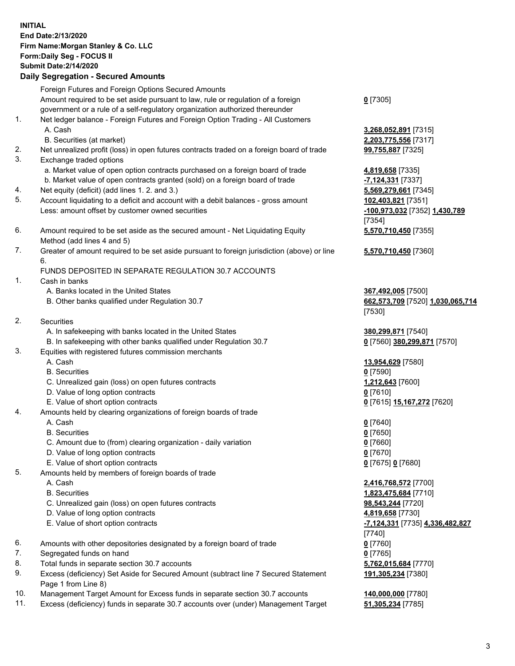## **INITIAL End Date:2/13/2020 Firm Name:Morgan Stanley & Co. LLC Form:Daily Seg - FOCUS II Submit Date:2/14/2020 Daily Segregation - Secured Amounts**

Foreign Futures and Foreign Options Secured Amounts

Amount required to be set aside pursuant to law, rule or regulation of a foreign government or a rule of a self-regulatory organization authorized thereunder 1. Net ledger balance - Foreign Futures and Foreign Option Trading - All Customers A. Cash **3,268,052,891** [7315] B. Securities (at market) **2,203,775,556** [7317] 2. Net unrealized profit (loss) in open futures contracts traded on a foreign board of trade **99,755,887** [7325] 3. Exchange traded options a. Market value of open option contracts purchased on a foreign board of trade **4,819,658** [7335] b. Market value of open contracts granted (sold) on a foreign board of trade **-7,124,331** [7337] 4. Net equity (deficit) (add lines 1. 2. and 3.) **5,569,279,661** [7345] 5. Account liquidating to a deficit and account with a debit balances - gross amount **102,403,821** [7351] Less: amount offset by customer owned securities **-100,973,032** [7352] **1,430,789**

- 6. Amount required to be set aside as the secured amount Net Liquidating Equity Method (add lines 4 and 5)
- 7. Greater of amount required to be set aside pursuant to foreign jurisdiction (above) or line 6.

## FUNDS DEPOSITED IN SEPARATE REGULATION 30.7 ACCOUNTS

- 1. Cash in banks
	- A. Banks located in the United States **367,492,005** [7500]
	- B. Other banks qualified under Regulation 30.7 **662,573,709** [7520] **1,030,065,714**
- 2. Securities
	- A. In safekeeping with banks located in the United States **380,299,871** [7540]
	- B. In safekeeping with other banks qualified under Regulation 30.7 **0** [7560] **380,299,871** [7570]
- 3. Equities with registered futures commission merchants
	-
	- B. Securities **0** [7590]
	- C. Unrealized gain (loss) on open futures contracts **1,212,643** [7600]
	- D. Value of long option contracts **0** [7610]
	- E. Value of short option contracts **0** [7615] **15,167,272** [7620]
- 4. Amounts held by clearing organizations of foreign boards of trade
	- A. Cash **0** [7640]
	- B. Securities **0** [7650]
	- C. Amount due to (from) clearing organization daily variation **0** [7660]
	- D. Value of long option contracts **0** [7670]
	- E. Value of short option contracts **0** [7675] **0** [7680]
- 5. Amounts held by members of foreign boards of trade
	-
	-
	- C. Unrealized gain (loss) on open futures contracts **98,543,244** [7720]
	- D. Value of long option contracts **4,819,658** [7730]
	- E. Value of short option contracts **-7,124,331** [7735] **4,336,482,827**
- 6. Amounts with other depositories designated by a foreign board of trade **0** [7760]
- 7. Segregated funds on hand **0** [7765]
- 8. Total funds in separate section 30.7 accounts **5,762,015,684** [7770]
- 9. Excess (deficiency) Set Aside for Secured Amount (subtract line 7 Secured Statement Page 1 from Line 8)
- 10. Management Target Amount for Excess funds in separate section 30.7 accounts **140,000,000** [7780]
- 11. Excess (deficiency) funds in separate 30.7 accounts over (under) Management Target **51,305,234** [7785]

**0** [7305]

[7354] **5,570,710,450** [7355]

**5,570,710,450** [7360]

[7530]

A. Cash **13,954,629** [7580]

 A. Cash **2,416,768,572** [7700] B. Securities **1,823,475,684** [7710] [7740] **191,305,234** [7380]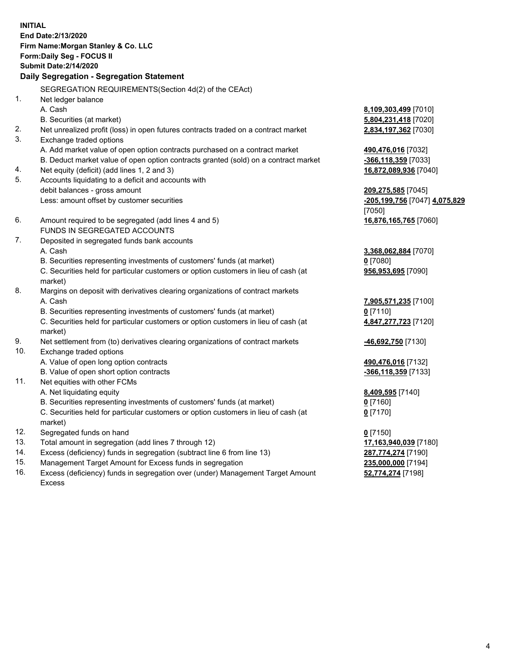**INITIAL End Date:2/13/2020 Firm Name:Morgan Stanley & Co. LLC Form:Daily Seg - FOCUS II Submit Date:2/14/2020 Daily Segregation - Segregation Statement** SEGREGATION REQUIREMENTS(Section 4d(2) of the CEAct) 1. Net ledger balance A. Cash **8,109,303,499** [7010] B. Securities (at market) **5,804,231,418** [7020] 2. Net unrealized profit (loss) in open futures contracts traded on a contract market **2,834,197,362** [7030] 3. Exchange traded options A. Add market value of open option contracts purchased on a contract market **490,476,016** [7032] B. Deduct market value of open option contracts granted (sold) on a contract market **-366,118,359** [7033] 4. Net equity (deficit) (add lines 1, 2 and 3) **16,872,089,936** [7040] 5. Accounts liquidating to a deficit and accounts with debit balances - gross amount **209,275,585** [7045] Less: amount offset by customer securities **-205,199,756** [7047] **4,075,829** [7050] 6. Amount required to be segregated (add lines 4 and 5) **16,876,165,765** [7060] FUNDS IN SEGREGATED ACCOUNTS 7. Deposited in segregated funds bank accounts A. Cash **3,368,062,884** [7070] B. Securities representing investments of customers' funds (at market) **0** [7080] C. Securities held for particular customers or option customers in lieu of cash (at market) **956,953,695** [7090] 8. Margins on deposit with derivatives clearing organizations of contract markets A. Cash **7,905,571,235** [7100] B. Securities representing investments of customers' funds (at market) **0** [7110] C. Securities held for particular customers or option customers in lieu of cash (at market) **4,847,277,723** [7120] 9. Net settlement from (to) derivatives clearing organizations of contract markets **-46,692,750** [7130] 10. Exchange traded options A. Value of open long option contracts **490,476,016** [7132] B. Value of open short option contracts **-366,118,359** [7133] 11. Net equities with other FCMs A. Net liquidating equity **8,409,595** [7140] B. Securities representing investments of customers' funds (at market) **0** [7160] C. Securities held for particular customers or option customers in lieu of cash (at market) **0** [7170] 12. Segregated funds on hand **0** [7150] 13. Total amount in segregation (add lines 7 through 12) **17,163,940,039** [7180] 14. Excess (deficiency) funds in segregation (subtract line 6 from line 13) **287,774,274** [7190]

- 15. Management Target Amount for Excess funds in segregation **235,000,000** [7194]
- 16. Excess (deficiency) funds in segregation over (under) Management Target Amount Excess

**52,774,274** [7198]